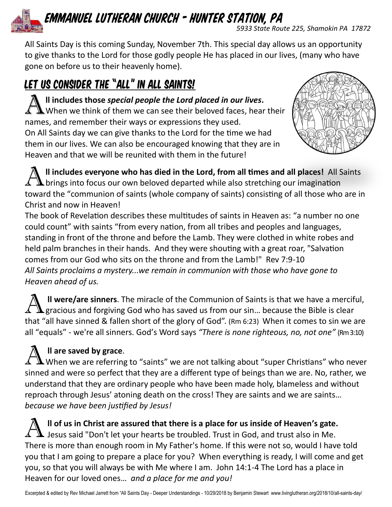# *Emmanuel Lutheran Church - Hunter Station, PA*

*5933 State Route 225, Shamokin PA 17872*

All Saints Day is this coming Sunday, November 7th. This special day allows us an opportunity to give thanks to the Lord for those godly people He has placed in our lives, (many who have gone on before us to their heavenly home).

## LET US CONSIDER THE "ALL" IN ALL SAINTS!

A II includes those special people the Lord placed in our lives.<br>A When we think of them we can see their beloved faces, hear their **ll includes those** *special people the Lord placed in our lives***.**  names, and remember their ways or expressions they used. On All Saints day we can give thanks to the Lord for the time we had them in our lives. We can also be encouraged knowing that they are in Heaven and that we will be reunited with them in the future!



**A** II includes everyone who has died in the Lord, from all times and all places! All S<br> **A** brings into focus our own beloved departed while also stretching our imagination **ll includes everyone who has died in the Lord, from all times and all places!** All Saints toward the "communion of saints (whole company of saints) consisting of all those who are in Christ and now in Heaven!

The book of Revelation describes these multitudes of saints in Heaven as: "a number no one could count" with saints "from every nation, from all tribes and peoples and languages, standing in front of the throne and before the Lamb. They were clothed in white robes and held palm branches in their hands. And they were shouting with a great roar, "Salvation comes from our God who sits on the throne and from the Lamb!" Rev 7:9-10 *All Saints proclaims a mystery...we remain in communion with those who have gone to Heaven ahead of us.* 

A II were/are sinners. The miracle of the Communion of Saints is that we have a mercifical gracious and forgiving God who has saved us from our sin... because the Bible is clear **ll were/are sinners**. The miracle of the Communion of Saints is that we have a merciful, that "all have sinned & fallen short of the glory of God". (Rm 6:23) When it comes to sin we are all "equals" - we're all sinners. God's Word says *"There is none righteous, no, not one"* (Rm 3:10)

### **ll are saved by grace**.

A II are saved by grace.<br>A When we are referring to "saints" we are not talking about "super Christians" who never sinned and were so perfect that they are a different type of beings than we are. No, rather, we understand that they are ordinary people who have been made holy, blameless and without reproach through Jesus' atoning death on the cross! They are saints and we are saints… *because we have been justified by Jesus!*

 $\sum$  II of us in Christ are assured that there is a place for us inside of Heaven's gate.<br>Lesus said "Don't let your hearts be troubled. Trust in God, and trust also in Me. **ll of us in Christ are assured that there is a place for us inside of Heaven's gate.**  There is more than enough room in My Father's home. If this were not so, would I have told you that I am going to prepare a place for you? When everything is ready, I will come and get you, so that you will always be with Me where I am. John 14:1-4 The Lord has a place in Heaven for our loved ones… *and a place for me and you!*